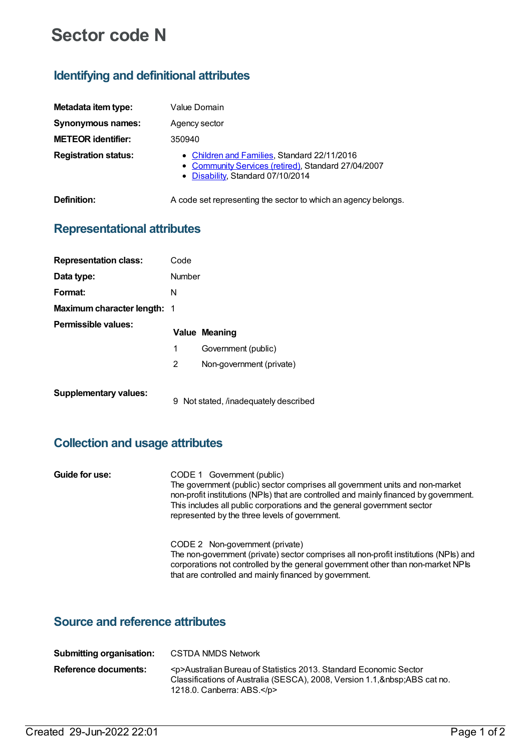# **Sector code N**

# **Identifying and definitional attributes**

| Metadata item type:         | Value Domain                                                                                                                             |  |  |
|-----------------------------|------------------------------------------------------------------------------------------------------------------------------------------|--|--|
| <b>Synonymous names:</b>    | Agency sector                                                                                                                            |  |  |
| <b>METEOR identifier:</b>   | 350940                                                                                                                                   |  |  |
| <b>Registration status:</b> | • Children and Families, Standard 22/11/2016<br>• Community Services (retired), Standard 27/04/2007<br>• Disability, Standard 07/10/2014 |  |  |
| Definition:                 | A code set representing the sector to which an agency belongs.                                                                           |  |  |

#### **Representational attributes**

| <b>Representation class:</b>       | Code   |                                     |
|------------------------------------|--------|-------------------------------------|
| Data type:                         | Number |                                     |
| Format:                            | N      |                                     |
| <b>Maximum character length: 1</b> |        |                                     |
| Permissible values:                |        | <b>Value Meaning</b>                |
|                                    | 1      | Government (public)                 |
|                                    | 2      | Non-government (private)            |
| <b>Supplementary values:</b>       | 9      | Not stated, /inadequately described |

### **Collection and usage attributes**

| Guide for use: | CODE 1 Government (public)<br>The government (public) sector comprises all government units and non-market<br>non-profit institutions (NPIs) that are controlled and mainly financed by government.<br>This includes all public corporations and the general government sector<br>represented by the three levels of government. |
|----------------|----------------------------------------------------------------------------------------------------------------------------------------------------------------------------------------------------------------------------------------------------------------------------------------------------------------------------------|
|                | CODE 2 Non-government (private)<br>The non-government (private) sector comprises all non-profit institutions (NPIs) and<br>corporations not controlled by the general government other than non-market NPIs<br>that are controlled and mainly financed by government.                                                            |

## **Source and reference attributes**

| Submitting organisation: | CSTDA NMDS Network                                                                                                                                                                               |
|--------------------------|--------------------------------------------------------------------------------------------------------------------------------------------------------------------------------------------------|
| Reference documents:     | <p>Australian Bureau of Statistics 2013. Standard Economic Sector<br/>Classifications of Australia (SESCA), 2008, Version 1.1, ABS cat no.<br/>1218.0. Canberra: ABS.<math>&lt;</math>/p&gt;</p> |